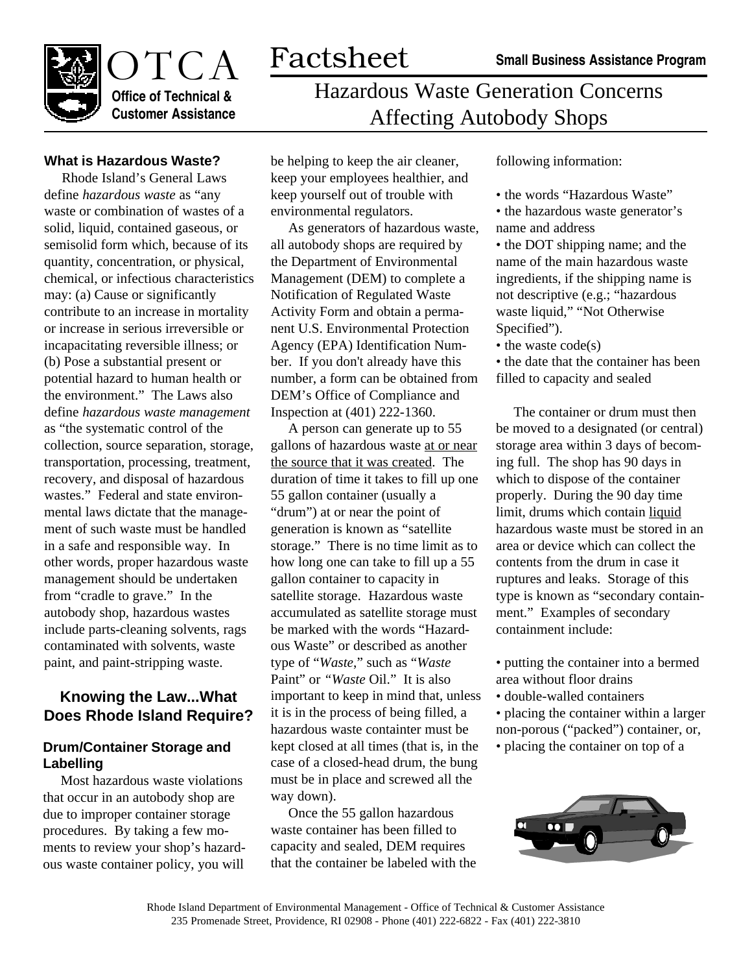

# OTCA Factsheet **Office of Technical & Customer Assistance**

# Hazardous Waste Generation Concerns Affecting Autobody Shops

#### **What is Hazardous Waste?**

Rhode Island's General Laws define *hazardous waste* as "any waste or combination of wastes of a solid, liquid, contained gaseous, or semisolid form which, because of its quantity, concentration, or physical, chemical, or infectious characteristics may: (a) Cause or significantly contribute to an increase in mortality or increase in serious irreversible or incapacitating reversible illness; or (b) Pose a substantial present or potential hazard to human health or the environment." The Laws also define *hazardous waste management* as "the systematic control of the collection, source separation, storage, transportation, processing, treatment, recovery, and disposal of hazardous wastes." Federal and state environmental laws dictate that the management of such waste must be handled in a safe and responsible way. In other words, proper hazardous waste management should be undertaken from "cradle to grave." In the autobody shop, hazardous wastes include parts-cleaning solvents, rags contaminated with solvents, waste paint, and paint-stripping waste.

### **Knowing the Law...What Does Rhode Island Require?**

#### **Drum/Container Storage and Labelling**

Most hazardous waste violations that occur in an autobody shop are due to improper container storage procedures. By taking a few moments to review your shop's hazardous waste container policy, you will

be helping to keep the air cleaner, keep your employees healthier, and keep yourself out of trouble with environmental regulators.

As generators of hazardous waste, all autobody shops are required by the Department of Environmental Management (DEM) to complete a Notification of Regulated Waste Activity Form and obtain a permanent U.S. Environmental Protection Agency (EPA) Identification Number. If you don't already have this number, a form can be obtained from DEM's Office of Compliance and Inspection at (401) 222-1360.

A person can generate up to 55 gallons of hazardous waste at or near the source that it was created. The duration of time it takes to fill up one 55 gallon container (usually a "drum") at or near the point of generation is known as "satellite storage." There is no time limit as to how long one can take to fill up a 55 gallon container to capacity in satellite storage. Hazardous waste accumulated as satellite storage must be marked with the words "Hazardous Waste" or described as another type of "*Waste*," such as "*Waste* Paint" or *"Waste* Oil." It is also important to keep in mind that, unless it is in the process of being filled, a hazardous waste containter must be kept closed at all times (that is, in the case of a closed-head drum, the bung must be in place and screwed all the way down).

Once the 55 gallon hazardous waste container has been filled to capacity and sealed, DEM requires that the container be labeled with the following information:

- the words "Hazardous Waste"
- the hazardous waste generator's name and address

• the DOT shipping name; and the name of the main hazardous waste ingredients, if the shipping name is not descriptive (e.g.; "hazardous waste liquid," "Not Otherwise Specified").

• the waste code(s)

• the date that the container has been filled to capacity and sealed

The container or drum must then be moved to a designated (or central) storage area within 3 days of becoming full. The shop has 90 days in which to dispose of the container properly. During the 90 day time limit, drums which contain liquid hazardous waste must be stored in an area or device which can collect the contents from the drum in case it ruptures and leaks. Storage of this type is known as "secondary containment." Examples of secondary containment include:

- putting the container into a bermed area without floor drains
- double-walled containers
- placing the container within a larger non-porous ("packed") container, or,
- placing the container on top of a